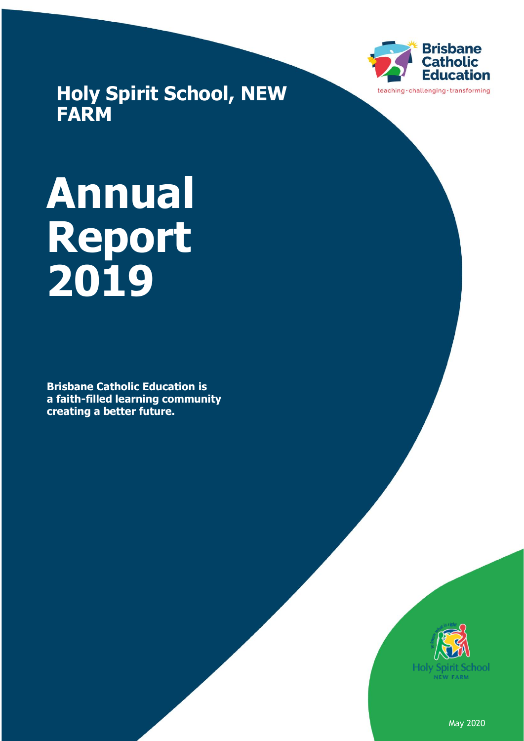

**Holy Spirit School, NEW FARM**

# **Annual Report 2019**

**Brisbane Catholic Education is a faith-filled learning community creating a better future.**



May 2020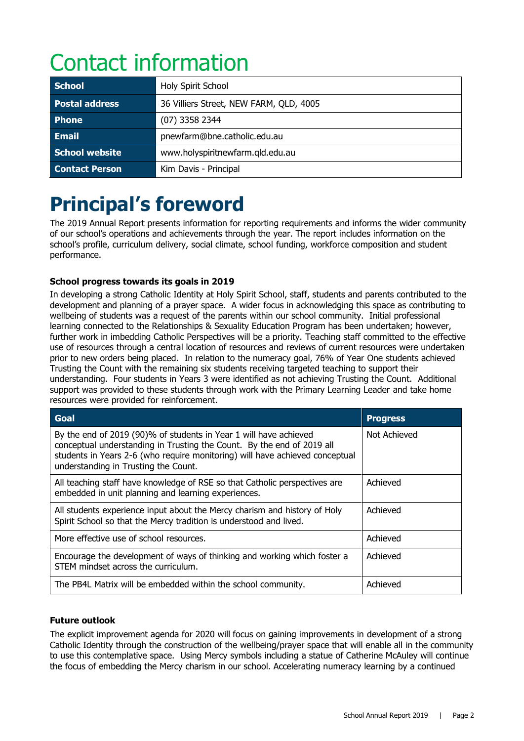# Contact information

| <b>School</b>         | Holy Spirit School                      |  |
|-----------------------|-----------------------------------------|--|
| Postal address        | 36 Villiers Street, NEW FARM, QLD, 4005 |  |
| <b>Phone</b>          | (07) 3358 2344                          |  |
| <b>Email</b>          | pnewfarm@bne.catholic.edu.au            |  |
| School website        | www.holyspiritnewfarm.qld.edu.au        |  |
| <b>Contact Person</b> | Kim Davis - Principal                   |  |

# **Principal's foreword**

The 2019 Annual Report presents information for reporting requirements and informs the wider community of our school's operations and achievements through the year. The report includes information on the school's profile, curriculum delivery, social climate, school funding, workforce composition and student performance.

#### **School progress towards its goals in 2019**

In developing a strong Catholic Identity at Holy Spirit School, staff, students and parents contributed to the development and planning of a prayer space. A wider focus in acknowledging this space as contributing to wellbeing of students was a request of the parents within our school community. Initial professional learning connected to the Relationships & Sexuality Education Program has been undertaken; however, further work in imbedding Catholic Perspectives will be a priority. Teaching staff committed to the effective use of resources through a central location of resources and reviews of current resources were undertaken prior to new orders being placed. In relation to the numeracy goal, 76% of Year One students achieved Trusting the Count with the remaining six students receiving targeted teaching to support their understanding. Four students in Years 3 were identified as not achieving Trusting the Count. Additional support was provided to these students through work with the Primary Learning Leader and take home resources were provided for reinforcement.

| Goal                                                                                                                                                                                                                                                                | <b>Progress</b> |
|---------------------------------------------------------------------------------------------------------------------------------------------------------------------------------------------------------------------------------------------------------------------|-----------------|
| By the end of 2019 (90)% of students in Year 1 will have achieved<br>conceptual understanding in Trusting the Count. By the end of 2019 all<br>students in Years 2-6 (who require monitoring) will have achieved conceptual<br>understanding in Trusting the Count. | Not Achieved    |
| All teaching staff have knowledge of RSE so that Catholic perspectives are<br>embedded in unit planning and learning experiences.                                                                                                                                   | Achieved        |
| All students experience input about the Mercy charism and history of Holy<br>Spirit School so that the Mercy tradition is understood and lived.                                                                                                                     | Achieved        |
| More effective use of school resources.                                                                                                                                                                                                                             | Achieved        |
| Encourage the development of ways of thinking and working which foster a<br>STEM mindset across the curriculum.                                                                                                                                                     | Achieved        |
| The PB4L Matrix will be embedded within the school community.                                                                                                                                                                                                       | Achieved        |

#### **Future outlook**

The explicit improvement agenda for 2020 will focus on gaining improvements in development of a strong Catholic Identity through the construction of the wellbeing/prayer space that will enable all in the community to use this contemplative space. Using Mercy symbols including a statue of Catherine McAuley will continue the focus of embedding the Mercy charism in our school. Accelerating numeracy learning by a continued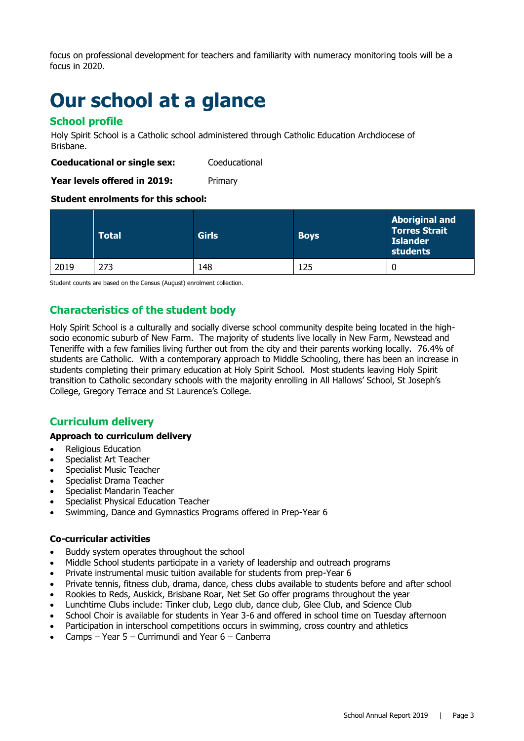focus on professional development for teachers and familiarity with numeracy monitoring tools will be a focus in 2020.

### **Our school at a glance**

#### **School profile**

Holy Spirit School is a Catholic school administered through Catholic Education Archdiocese of Brisbane.

**Coeducational or single sex:** Coeducational

**Year levels offered in 2019:** Primary

#### **Student enrolments for this school:**

|      | <b>Total</b> | <b>Girls</b> | <b>Boys</b> | <b>Aboriginal and</b><br><b>Torres Strait</b><br><b>Islander</b><br>students |
|------|--------------|--------------|-------------|------------------------------------------------------------------------------|
| 2019 | 273          | 148          | 125         |                                                                              |

Student counts are based on the Census (August) enrolment collection.

#### **Characteristics of the student body**

Holy Spirit School is a culturally and socially diverse school community despite being located in the highsocio economic suburb of New Farm. The majority of students live locally in New Farm, Newstead and Teneriffe with a few families living further out from the city and their parents working locally. 76.4% of students are Catholic. With a contemporary approach to Middle Schooling, there has been an increase in students completing their primary education at Holy Spirit School. Most students leaving Holy Spirit transition to Catholic secondary schools with the majority enrolling in All Hallows' School, St Joseph's College, Gregory Terrace and St Laurence's College.

#### **Curriculum delivery**

#### **Approach to curriculum delivery**

- Religious Education
- Specialist Art Teacher
- Specialist Music Teacher
- Specialist Drama Teacher
- Specialist Mandarin Teacher
- Specialist Physical Education Teacher
- Swimming, Dance and Gymnastics Programs offered in Prep-Year 6

#### **Co-curricular activities**

- Buddy system operates throughout the school
- Middle School students participate in a variety of leadership and outreach programs
- Private instrumental music tuition available for students from prep-Year 6
- Private tennis, fitness club, drama, dance, chess clubs available to students before and after school
- Rookies to Reds, Auskick, Brisbane Roar, Net Set Go offer programs throughout the year
- Lunchtime Clubs include: Tinker club, Lego club, dance club, Glee Club, and Science Club
- School Choir is available for students in Year 3-6 and offered in school time on Tuesday afternoon
- Participation in interschool competitions occurs in swimming, cross country and athletics
- Camps Year  $5$  Currimundi and Year  $6$  Canberra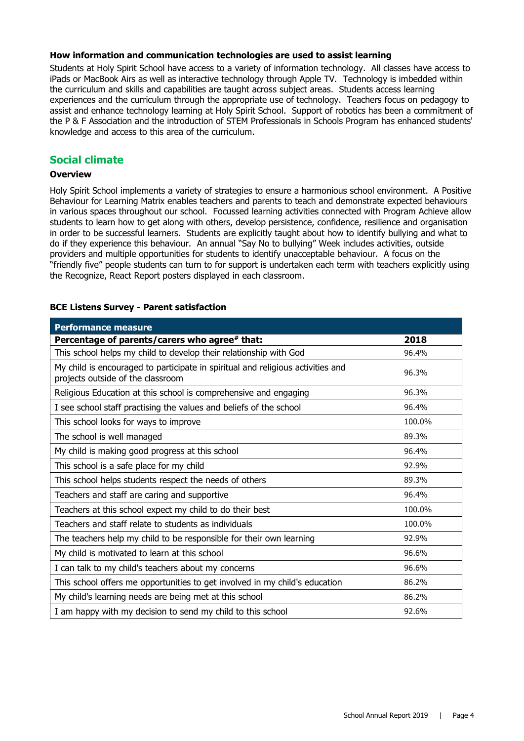#### **How information and communication technologies are used to assist learning**

Students at Holy Spirit School have access to a variety of information technology. All classes have access to iPads or MacBook Airs as well as interactive technology through Apple TV. Technology is imbedded within the curriculum and skills and capabilities are taught across subject areas. Students access learning experiences and the curriculum through the appropriate use of technology. Teachers focus on pedagogy to assist and enhance technology learning at Holy Spirit School. Support of robotics has been a commitment of the P & F Association and the introduction of STEM Professionals in Schools Program has enhanced students' knowledge and access to this area of the curriculum.

#### **Social climate**

#### **Overview**

Holy Spirit School implements a variety of strategies to ensure a harmonious school environment. A Positive Behaviour for Learning Matrix enables teachers and parents to teach and demonstrate expected behaviours in various spaces throughout our school. Focussed learning activities connected with Program Achieve allow students to learn how to get along with others, develop persistence, confidence, resilience and organisation in order to be successful learners. Students are explicitly taught about how to identify bullying and what to do if they experience this behaviour. An annual "Say No to bullying" Week includes activities, outside providers and multiple opportunities for students to identify unacceptable behaviour. A focus on the "friendly five" people students can turn to for support is undertaken each term with teachers explicitly using the Recognize, React Report posters displayed in each classroom.

#### **BCE Listens Survey - Parent satisfaction**

| <b>Performance measure</b>                                                                                           |        |
|----------------------------------------------------------------------------------------------------------------------|--------|
| Percentage of parents/carers who agree# that:                                                                        | 2018   |
| This school helps my child to develop their relationship with God                                                    | 96.4%  |
| My child is encouraged to participate in spiritual and religious activities and<br>projects outside of the classroom | 96.3%  |
| Religious Education at this school is comprehensive and engaging                                                     | 96.3%  |
| I see school staff practising the values and beliefs of the school                                                   | 96.4%  |
| This school looks for ways to improve                                                                                | 100.0% |
| The school is well managed                                                                                           | 89.3%  |
| My child is making good progress at this school                                                                      | 96.4%  |
| This school is a safe place for my child                                                                             | 92.9%  |
| This school helps students respect the needs of others                                                               | 89.3%  |
| Teachers and staff are caring and supportive                                                                         | 96.4%  |
| Teachers at this school expect my child to do their best                                                             | 100.0% |
| Teachers and staff relate to students as individuals                                                                 | 100.0% |
| The teachers help my child to be responsible for their own learning                                                  | 92.9%  |
| My child is motivated to learn at this school                                                                        | 96.6%  |
| I can talk to my child's teachers about my concerns                                                                  | 96.6%  |
| This school offers me opportunities to get involved in my child's education                                          | 86.2%  |
| My child's learning needs are being met at this school                                                               | 86.2%  |
| I am happy with my decision to send my child to this school                                                          | 92.6%  |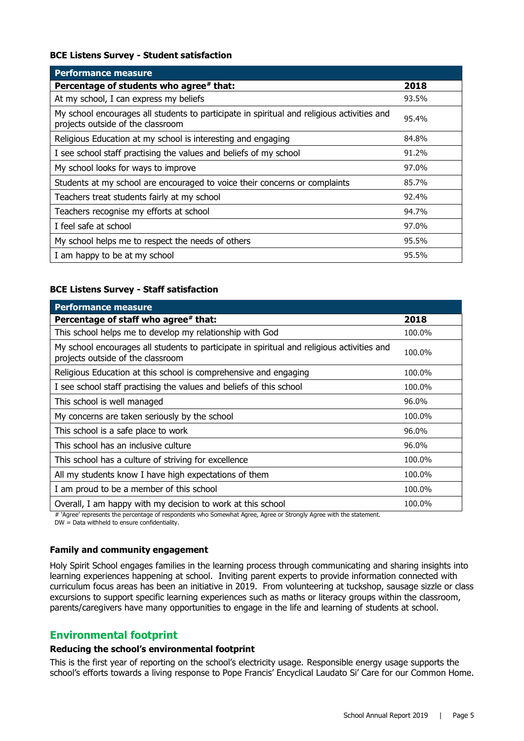#### **BCE Listens Survey - Student satisfaction**

| <b>Performance measure</b>                                                                                                      |       |
|---------------------------------------------------------------------------------------------------------------------------------|-------|
| Percentage of students who agree* that:                                                                                         | 2018  |
| At my school, I can express my beliefs                                                                                          | 93.5% |
| My school encourages all students to participate in spiritual and religious activities and<br>projects outside of the classroom | 95.4% |
| Religious Education at my school is interesting and engaging                                                                    | 84.8% |
| I see school staff practising the values and beliefs of my school                                                               | 91.2% |
| My school looks for ways to improve                                                                                             | 97.0% |
| Students at my school are encouraged to voice their concerns or complaints                                                      | 85.7% |
| Teachers treat students fairly at my school                                                                                     | 92.4% |
| Teachers recognise my efforts at school                                                                                         | 94.7% |
| I feel safe at school                                                                                                           | 97.0% |
| My school helps me to respect the needs of others                                                                               | 95.5% |
| I am happy to be at my school                                                                                                   | 95.5% |

#### **BCE Listens Survey - Staff satisfaction**

| <b>Performance measure</b>                                                                                                      |        |
|---------------------------------------------------------------------------------------------------------------------------------|--------|
| Percentage of staff who agree# that:                                                                                            | 2018   |
| This school helps me to develop my relationship with God                                                                        | 100.0% |
| My school encourages all students to participate in spiritual and religious activities and<br>projects outside of the classroom | 100.0% |
| Religious Education at this school is comprehensive and engaging                                                                | 100.0% |
| I see school staff practising the values and beliefs of this school                                                             | 100.0% |
| This school is well managed                                                                                                     | 96.0%  |
| My concerns are taken seriously by the school                                                                                   | 100.0% |
| This school is a safe place to work                                                                                             | 96.0%  |
| This school has an inclusive culture                                                                                            | 96.0%  |
| This school has a culture of striving for excellence                                                                            | 100.0% |
| All my students know I have high expectations of them                                                                           | 100.0% |
| I am proud to be a member of this school                                                                                        | 100.0% |
| Overall, I am happy with my decision to work at this school                                                                     | 100.0% |

# 'Agree' represents the percentage of respondents who Somewhat Agree, Agree or Strongly Agree with the statement.

DW = Data withheld to ensure confidentiality.

#### **Family and community engagement**

Holy Spirit School engages families in the learning process through communicating and sharing insights into learning experiences happening at school. Inviting parent experts to provide information connected with curriculum focus areas has been an initiative in 2019. From volunteering at tuckshop, sausage sizzle or class excursions to support specific learning experiences such as maths or literacy groups within the classroom, parents/caregivers have many opportunities to engage in the life and learning of students at school.

#### **Environmental footprint**

#### **Reducing the school's environmental footprint**

This is the first year of reporting on the school's electricity usage. Responsible energy usage supports the school's efforts towards a living response to Pope Francis' Encyclical Laudato Si' Care for our Common Home.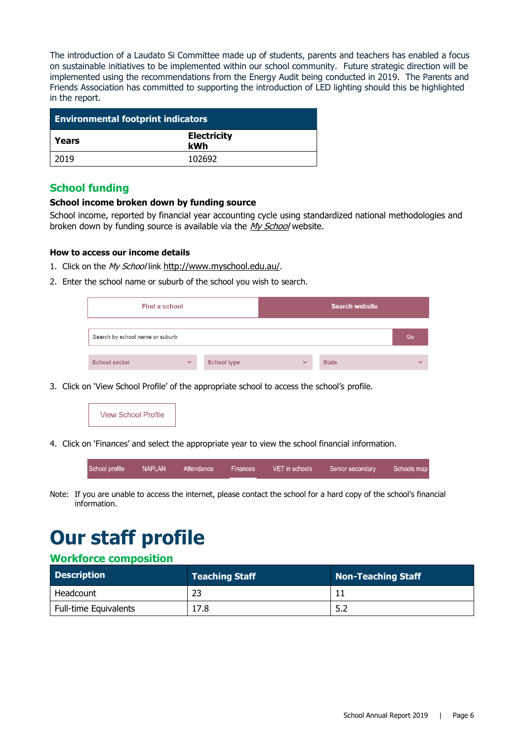The introduction of a Laudato Si Committee made up of students, parents and teachers has enabled a focus on sustainable initiatives to be implemented within our school community. Future strategic direction will be implemented using the recommendations from the Energy Audit being conducted in 2019. The Parents and Friends Association has committed to supporting the introduction of LED lighting should this be highlighted in the report.

| <b>Environmental footprint indicators</b> |                           |  |  |
|-------------------------------------------|---------------------------|--|--|
| Years                                     | <b>Electricity</b><br>kWh |  |  |
| 2019                                      | 102692                    |  |  |

#### **School funding**

#### **School income broken down by funding source**

School income, reported by financial year accounting cycle using standardized national methodologies and broken down by funding source is available via the [My School](http://www.myschool.edu.au/) website.

#### **How to access our income details**

- 1. Click on the My School link <http://www.myschool.edu.au/>.
- 2. Enter the school name or suburb of the school you wish to search.

| Find a school                   |              |                    |              | <b>Search website</b> |                          |
|---------------------------------|--------------|--------------------|--------------|-----------------------|--------------------------|
| Search by school name or suburb |              |                    | Go           |                       |                          |
| <b>School sector</b>            | $\checkmark$ | <b>School type</b> | $\checkmark$ | <b>State</b>          | $\overline{\phantom{a}}$ |

3. Click on 'View School Profile' of the appropriate school to access the school's profile.



4. Click on 'Finances' and select the appropriate year to view the school financial information.

| School profile | <b>NAPLAN</b> | Attendance | Finances | VET in schools | Senior secondary | Schools map |
|----------------|---------------|------------|----------|----------------|------------------|-------------|
|                |               |            |          |                |                  |             |

Note: If you are unable to access the internet, please contact the school for a hard copy of the school's financial information.

# **Our staff profile**

#### **Workforce composition**

| <b>Description</b>           | <b>Teaching Staff</b> | Non-Teaching Staff |
|------------------------------|-----------------------|--------------------|
| Headcount                    |                       |                    |
| <b>Full-time Equivalents</b> | 17.8                  |                    |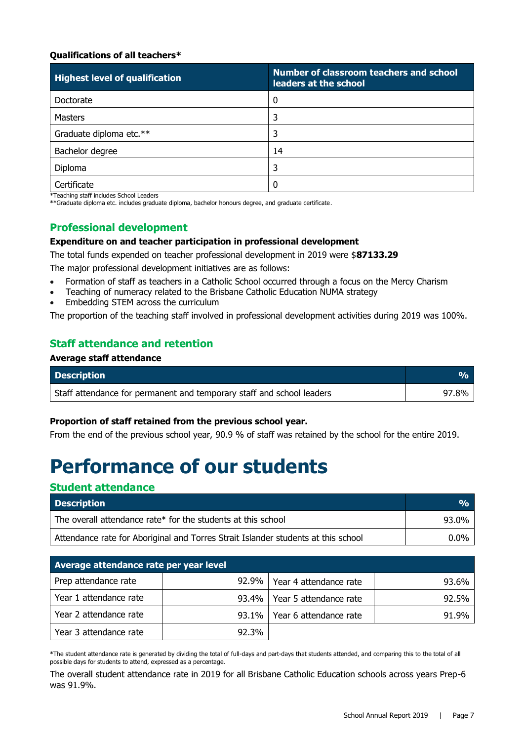#### **Qualifications of all teachers\***

| <b>Highest level of qualification</b> | Number of classroom teachers and school<br>leaders at the school |
|---------------------------------------|------------------------------------------------------------------|
| Doctorate                             | 0                                                                |
| Masters                               | 3                                                                |
| Graduate diploma etc.**               | 3                                                                |
| Bachelor degree                       | 14                                                               |
| Diploma                               | 3                                                                |
| Certificate                           |                                                                  |

\*Teaching staff includes School Leaders

\*\*Graduate diploma etc. includes graduate diploma, bachelor honours degree, and graduate certificate.

#### **Professional development**

#### **Expenditure on and teacher participation in professional development**

The total funds expended on teacher professional development in 2019 were \$**87133.29**

The major professional development initiatives are as follows:

- Formation of staff as teachers in a Catholic School occurred through a focus on the Mercy Charism
- Teaching of numeracy related to the Brisbane Catholic Education NUMA strategy
- Embedding STEM across the curriculum

The proportion of the teaching staff involved in professional development activities during 2019 was 100%.

#### **Staff attendance and retention**

#### **Average staff attendance**

| <b>Description</b>                                                    |       |
|-----------------------------------------------------------------------|-------|
| Staff attendance for permanent and temporary staff and school leaders | 97.8% |

#### **Proportion of staff retained from the previous school year.**

From the end of the previous school year, 90.9 % of staff was retained by the school for the entire 2019.

## **Performance of our students**

#### **Student attendance**

| <b>Description</b>                                                                | $\frac{O}{O}$ |
|-----------------------------------------------------------------------------------|---------------|
| The overall attendance rate* for the students at this school                      | 93.0%         |
| Attendance rate for Aboriginal and Torres Strait Islander students at this school | $0.0\%$       |

| Average attendance rate per year level |          |                                |       |  |  |  |
|----------------------------------------|----------|--------------------------------|-------|--|--|--|
| Prep attendance rate                   | $92.9\%$ | Year 4 attendance rate         | 93.6% |  |  |  |
| Year 1 attendance rate                 |          | 93.4%   Year 5 attendance rate | 92.5% |  |  |  |
| Year 2 attendance rate                 | $93.1\%$ | Year 6 attendance rate         | 91.9% |  |  |  |
| Year 3 attendance rate                 | 92.3%    |                                |       |  |  |  |

\*The student attendance rate is generated by dividing the total of full-days and part-days that students attended, and comparing this to the total of all possible days for students to attend, expressed as a percentage.

The overall student attendance rate in 2019 for all Brisbane Catholic Education schools across years Prep-6 was 91.9%.